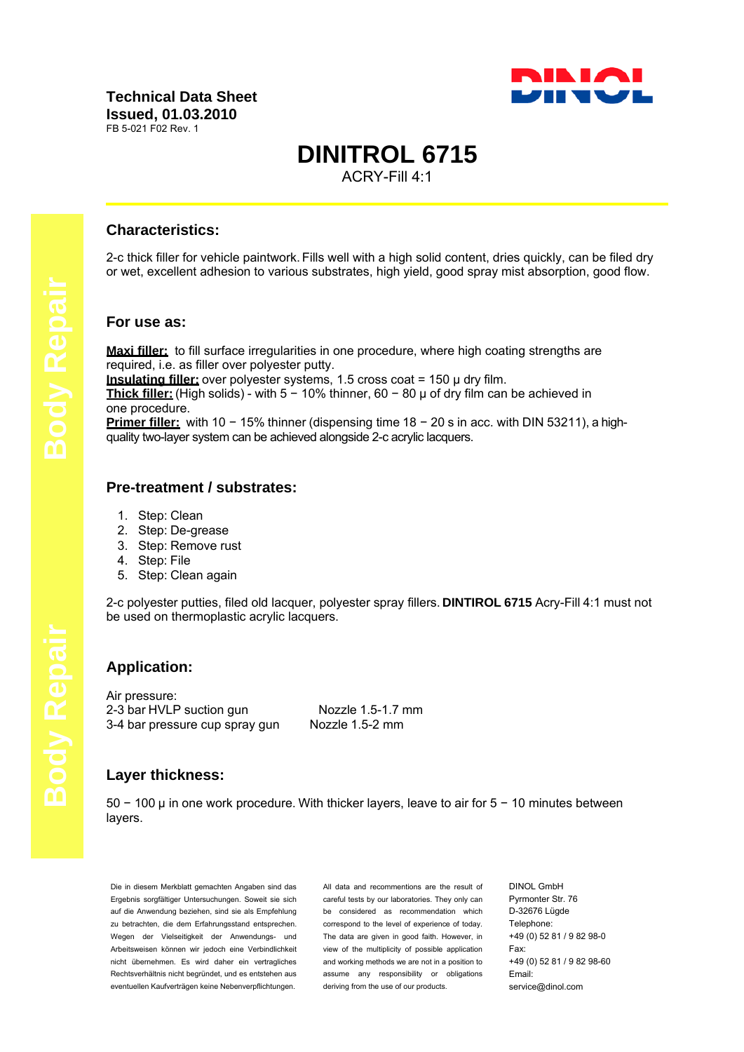

# **DINITROL 6715**

ACRY-Fill 4:1

## **Characteristics:**

2-c thick filler for vehicle paintwork. Fills well with a high solid content, dries quickly, can be filed dry or wet, excellent adhesion to various substrates, high yield, good spray mist absorption, good flow.

### **For use as:**

**Maxi filler:** to fill surface irregularities in one procedure, where high coating strengths are required, i.e. as filler over polyester putty.

**Insulating filler:** over polyester systems, 1.5 cross coat = 150 µ dry film.

**Thick filler:** (High solids) - with 5 − 10% thinner, 60 − 80 µ of dry film can be achieved in one procedure.

**Primer filler:** with 10 − 15% thinner (dispensing time 18 − 20 s in acc. with DIN 53211), a highquality two-layer system can be achieved alongside 2-c acrylic lacquers.

## **Pre-treatment / substrates:**

- 1. Step: Clean
- 2. Step: De-grease
- 3. Step: Remove rust
- 4. Step: File
- 5. Step: Clean again

2-c polyester putties, filed old lacquer, polyester spray fillers. **DINTIROL 6715** Acry-Fill 4:1 must not be used on thermoplastic acrylic lacquers.

## **Application:**

Air pressure: 2-3 bar HVLP suction gun<br>3-4 bar pressure cup spray gun Nozzle 1.5-2 mm 3-4 bar pressure cup spray gun

## **Layer thickness:**

50 − 100 µ in one work procedure. With thicker layers, leave to air for 5 − 10 minutes between layers.

Die in diesem Merkblatt gemachten Angaben sind das Ergebnis sorgfältiger Untersuchungen. Soweit sie sich auf die Anwendung beziehen, sind sie als Empfehlung zu betrachten, die dem Erfahrungsstand entsprechen. Wegen der Vielseitigkeit der Anwendungs- und Arbeitsweisen können wir jedoch eine Verbindlichkeit nicht übernehmen. Es wird daher ein vertragliches Rechtsverhältnis nicht begründet, und es entstehen aus eventuellen Kaufverträgen keine Nebenverpflichtungen.

All data and recommentions are the result of careful tests by our laboratories. They only can be considered as recommendation which correspond to the level of experience of today. The data are given in good faith. However, in view of the multiplicity of possible application and working methods we are not in a position to assume any responsibility or obligations deriving from the use of our products.

DINOL GmbH Pyrmonter Str. 76 D-32676 Lügde Telephone: +49 (0) 52 81 / 9 82 98-0 Fax: +49 (0) 52 81 / 9 82 98-60 Email: service@dinol.com